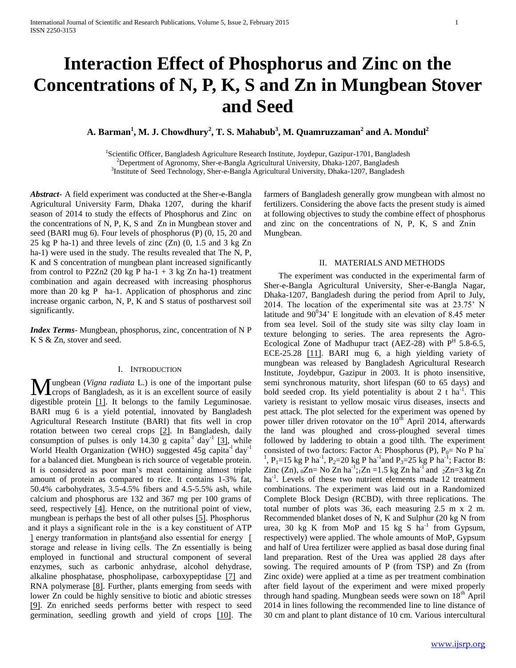# **Interaction Effect of Phosphorus and Zinc on the Concentrations of N, P, K, S and Zn in Mungbean Stover and Seed**

**A. Barman<sup>1</sup> , M. J. Chowdhury<sup>2</sup> , T. S. Mahabub<sup>3</sup> , M. Quamruzzaman<sup>2</sup> and A. Mondul<sup>2</sup>**

<sup>1</sup>Scientific Officer, Bangladesh Agriculture Research Institute, Joydepur, Gazipur-1701, Bangladesh <sup>2</sup>Depertment of Agronomy, Sher-e-Bangla Agricultural University, Dhaka-1207, Bangladesh <sup>3</sup>Institute of Seed Technology, Sher-e-Bangla Agricultural University, Dhaka-1207, Bangladesh

*Abstract***-** A field experiment was conducted at the Sher-e-Bangla Agricultural University Farm, Dhaka 1207, during the kharif season of 2014 to study the effects of Phosphorus and Zinc on the concentrations of N, P, K, S and Zn in Mungbean stover and seed (BARI mug 6). Four levels of phosphorus (P) (0, 15, 20 and 25 kg P ha-1) and three levels of zinc (Zn) (0, 1.5 and 3 kg Zn ha-1) were used in the study. The results revealed that The N, P, K and S concentration of mungbean plant increased significantly from control to P2Zn2 (20 kg P ha-1 + 3 kg Zn ha-1) treatment combination and again decreased with increasing phosphorus more than 20 kg P ha-1. Application of phosphorus and zinc increase organic carbon, N, P, K and S status of postharvest soil significantly.

*Index Terms*- Mungbean, phosphorus, zinc, concentration of N P K S & Zn, stover and seed.

## I. INTRODUCTION

ungbean (*Vigna radiata* L.) is one of the important pulse **M**ungbean (*Vigna radiata* L.) is one of the important pulse<br>crops of Bangladesh, as it is an excellent source of easily digestible protein [1]. It belongs to the family Leguminosae. BARI mug 6 is a yield potential, innovated by Bangladesh Agricultural Research Institute (BARI) that fits well in crop rotation between two cereal crops [2]. In Bangladesh, daily consumption of pulses is only  $14.30 \text{ g}$  capita<sup>-1</sup> day<sup>-1</sup> [3], while World Health Organization (WHO) suggested  $45g$  capita<sup>-1</sup> day<sup>-1</sup> for a balanced diet. Mungbean is rich source of vegetable protein. It is considered as poor man's meat containing almost triple amount of protein as compared to rice. It contains 1-3% fat, 50.4% carbohydrates, 3.5-4.5% fibers and 4.5-5.5% ash, while calcium and phosphorus are 132 and 367 mg per 100 grams of seed, respectively [4]. Hence, on the nutritional point of view, mungbean is perhaps the best of all other pulses [5]. Phosphorus and it plays a significant role in the is a key constituent of ATP [ energy tranformation in plants6 and also essential for energy [ storage and release in living cells. The Zn essentially is being employed in functional and structural component of several enzymes, such as carbonic anhydrase, alcohol dehydrase, alkaline phosphatase, phospholipase, carboxypeptidase [7] and RNA polymerase [8]. Further, plants emerging from seeds with lower Zn could be highly sensitive to biotic and abiotic stresses [9]. Zn enriched seeds performs better with respect to seed germination, seedling growth and yield of crops [10]. The

farmers of Bangladesh generally grow mungbean with almost no fertilizers. Considering the above facts the present study is aimed at following objectives to study the combine effect of phosphorus and zinc on the concentrations of  $N$ ,  $P$ ,  $K$ ,  $S$  and  $Znin$ Mungbean.

# II. MATERIALS AND METHODS

 The experiment was conducted in the experimental farm of Sher-e-Bangla Agricultural University, Sher-e-Bangla Nagar, Dhaka-1207, Bangladesh during the period from April to July, 2014. The location of the experimental site was at 23.75' N latitude and  $90^034'$  E longitude with an elevation of 8.45 meter from sea level. Soil of the study site was silty clay loam in texture belonging to series. The area represents the Agro-Ecological Zone of Madhupur tract (AEZ-28) with  $P<sup>H</sup>$  5.8-6.5, ECE-25.28 [11]. BARI mug 6, a high yielding variety of mungbean was released by Bangladesh Agricultural Research Institute, Joydebpur, Gazipur in 2003. It is photo insensitive, semi synchronous maturity, short lifespan (60 to 65 days) and bold seeded crop. Its yield potentiality is about 2 t ha<sup>-1</sup>. This variety is resistant to yellow mosaic virus diseases, insects and pest attack. The plot selected for the experiment was opened by power tiller driven rotovator on the  $10<sup>th</sup>$  April 2014, afterwards the land was ploughed and cross-ploughed several times followed by laddering to obtain a good tilth. The experiment consisted of two factors: Factor A: Phosphorus (P),  $P_0 = No$  P ha<sup>-</sup> <sup>1</sup>, P<sub>1</sub>=15 kg P ha<sup>-1</sup>, P<sub>2</sub>=20 kg P ha<sup>-1</sup> and P<sub>3</sub>=25 kg P ha<sup>-1</sup>; Factor B: Zinc  $(Zn)$ ,  $_0Zn = No Zn ha^{-1}$ ;  $Zn = 1.5 kg Zn ha^{-1}$  and  $_2Zn = 3 kg Zn$ ha<sup>-1</sup>. Levels of these two nutrient elements made 12 treatment combinations. The experiment was laid out in a Randomized Complete Block Design (RCBD), with three replications. The total number of plots was 36, each measuring 2.5 m x 2 m. Recommended blanket doses of N, K and Sulphur (20 kg N from urea, 30 kg K from MoP and 15 kg S  $ha^{-1}$  from Gypsum, respectively) were applied. The whole amounts of MoP, Gypsum and half of Urea fertilizer were applied as basal dose during final land preparation. Rest of the Urea was applied 28 days after sowing. The required amounts of P (from TSP) and Zn (from Zinc oxide) were applied at a time as per treatment combination after field layout of the experiment and were mixed properly through hand spading. Mungbean seeds were sown on 18<sup>th</sup> April 2014 in lines following the recommended line to line distance of 30 cm and plant to plant distance of 10 cm. Various intercultural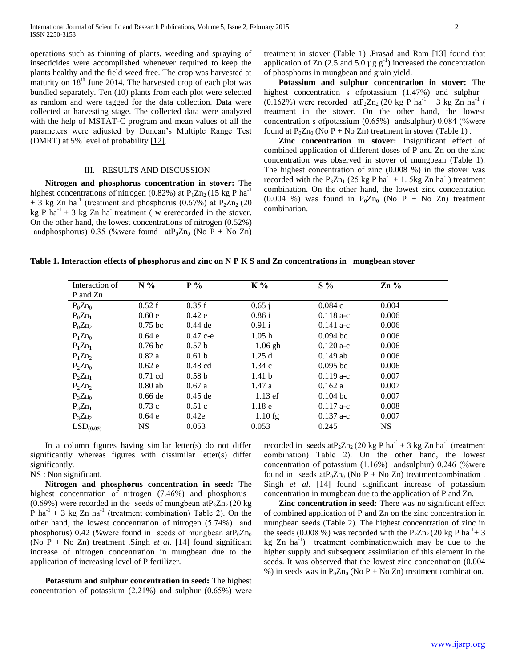operations such as thinning of plants, weeding and spraying of insecticides were accomplished whenever required to keep the plants healthy and the field weed free. The crop was harvested at maturity on  $18<sup>th</sup>$  June 2014. The harvested crop of each plot was bundled separately. Ten (10) plants from each plot were selected as random and were tagged for the data collection. Data were collected at harvesting stage. The collected data were analyzed with the help of MSTAT-C program and mean values of all the parameters were adjusted by Duncan's Multiple Range Test (DMRT) at 5% level of probability [12].

## III. RESULTS AND DISCUSSION

 **Nitrogen and phosphorus concentration in stover:** The highest concentrations of nitrogen (0.82%) at  $P_1Zn_2$  (15 kg P ha<sup>-1</sup>  $+$  3 kg Zn ha<sup>-1</sup> (treatment and phosphorus (0.67%) at P<sub>2</sub>Zn<sub>2</sub> (20 kg P  $ha^{-1}$  + 3 kg Zn  $ha^{-1}$ treatment (w ererecorded in the stover. On the other hand, the lowest concentrations of nitrogen  $(0.52\%)$ andphosphorus) 0.35 (%were found  $atP_0Zn_0$  (No P + No Zn)

treatment in stover (Table 1) .Prasad and Ram  $[13]$  found that application of Zn (2.5 and 5.0  $\mu$ g g<sup>-1</sup>) increased the concentration of phosphorus in mungbean and grain yield.

 **Potassium and sulphur concentration in stover:** The highest concentration  $s$  of potassium (1.47%) and sulphur  $(0.162%)$  were recorded at P<sub>2</sub>Zn<sub>2</sub> (20 kg P ha<sup>-1</sup> + 3 kg Zn ha<sup>-1</sup> ( treatment in the stover. On the other hand, the lowest concentration s of potassium  $(0.65%)$  and sulphur) 0.084 (%were found at  $P_0Zn_0$  (No P + No Zn) treatment in stover (Table 1).

 **Zinc concentration in stover:** Insignificant effect of combined application of different doses of P and Zn on the zinc concentration was observed in stover of mungbean (Table 1). The highest concentration of zinc (0.008 %) in the stover was recorded with the  $P_3Zn_1$  (25 kg P ha<sup>-1</sup> + 1. 5kg Zn ha<sup>-1</sup>) treatment combination. On the other hand, the lowest zinc concentration (0.004 %) was found in  $P_0Zn_0$  (No P + No Zn) treatment combination.

**Table 1. Interaction effects of phosphorus and zinc on N P K S and Zn concentrations in mungbean stover**

| Interaction of | $N\%$              | $P\%$             | K %               | $S\%$       | $Zn\%$    |  |
|----------------|--------------------|-------------------|-------------------|-------------|-----------|--|
| P and Zn       |                    |                   |                   |             |           |  |
| $P_0Zn_0$      | 0.52 f             | 0.35 f            | $0.65$ j          | 0.084c      | 0.004     |  |
| $P_0Zn_1$      | 0.60e              | 0.42e             | 0.86 i            | $0.118a-c$  | 0.006     |  |
| $P_0Zn_2$      | $0.75$ bc          | $0.44$ de         | 0.91 i            | $0.141 a-c$ | 0.006     |  |
| $P_1Zn_0$      | 0.64 e             | $0.47c - e$       | 1.05h             | $0.094$ bc  | 0.006     |  |
| $P_1Zn_1$      | 0.76 <sub>bc</sub> | 0.57 <sub>b</sub> | $1.06$ gh         | $0.120 a-c$ | 0.006     |  |
| $P_1Zn_2$      | 0.82a              | 0.61 <sub>b</sub> | 1.25d             | $0.149$ ab  | 0.006     |  |
| $P_2Zn_0$      | 0.62e              | $0.48$ cd         | 1.34c             | $0.095$ bc  | 0.006     |  |
| $P_2Zn_1$      | $0.71$ cd          | 0.58 <sub>b</sub> | 1.41 <sub>b</sub> | $0.119a-c$  | 0.007     |  |
| $P_2Zn_2$      | $0.80$ ab          | 0.67a             | 1.47a             | 0.162a      | 0.007     |  |
| $P_3Zn_0$      | $0.66$ de          | $0.45$ de         | $1.13$ ef         | $0.104$ bc  | 0.007     |  |
| $P_3Zn_1$      | 0.73c              | 0.51c             | 1.18 <sub>e</sub> | $0.117$ a-c | 0.008     |  |
| $P_3Zn_2$      | 0.64e              | 0.42e             | $1.10$ fg         | $0.137$ a-c | 0.007     |  |
| $LSD_{(0.05)}$ | <b>NS</b>          | 0.053             | 0.053             | 0.245       | <b>NS</b> |  |

 In a column figures having similar letter(s) do not differ significantly whereas figures with dissimilar letter(s) differ significantly.

# NS : Non significant.

 **Nitrogen and phosphorus concentration in seed:** The highest concentration of nitrogen  $(7.46\%)$  and phosphorus  $(0.69\%)$  were recorded in the seeds of mungbean at P<sub>2</sub>Zn<sub>2</sub> (20 kg) P ha<sup>-1</sup> + 3 kg Zn ha<sup>-1</sup> (treatment combination) Table 2). On the other hand, the lowest concentration of nitrogen  $(5.74%)$  and phosphorus) 0.42 (%were found in seeds of mungbean at P<sub>0</sub>Zn<sub>0</sub> (No P + No Zn) treatment .Singh *et al.*  $[14]$  found significant increase of nitrogen concentration in mungbean due to the application of increasing level of P fertilizer.

 **Potassium and sulphur concentration in seed:** The highest concentration of potassium  $(2.21\%)$  and sulphur  $(0.65\%)$  were

recorded in seeds at P<sub>2</sub>Zn<sub>2</sub> (20 kg P ha<sup>-1</sup> + 3 kg Zn ha<sup>-1</sup> (treatment combination) Table 2). On the other hand, the lowest concentration of potassium  $(1.16%)$  and sulphur 0.246 (%were found in seeds at  $P_0Zn_0$  (No P + No Zn) treatment combination. Singh *et al.* [14] found significant increase of potassium concentration in mungbean due to the application of P and Zn.

 **Zinc concentration in seed:** There was no significant effect of combined application of P and Zn on the zinc concentration in mungbean seeds (Table 2). The highest concentration of zinc in the seeds (0.008 %) was recorded with the  $P_2Zn_2$  (20 kg P ha<sup>-1</sup>+3 kg  $Zn$  ha<sup>-1</sup>) treatment combination which may be due to the higher supply and subsequent assimilation of this element in the seeds. It was observed that the lowest zinc concentration (0.004 %) in seeds was in  $P_0Zn_0$  (No P + No Zn) treatment combination.